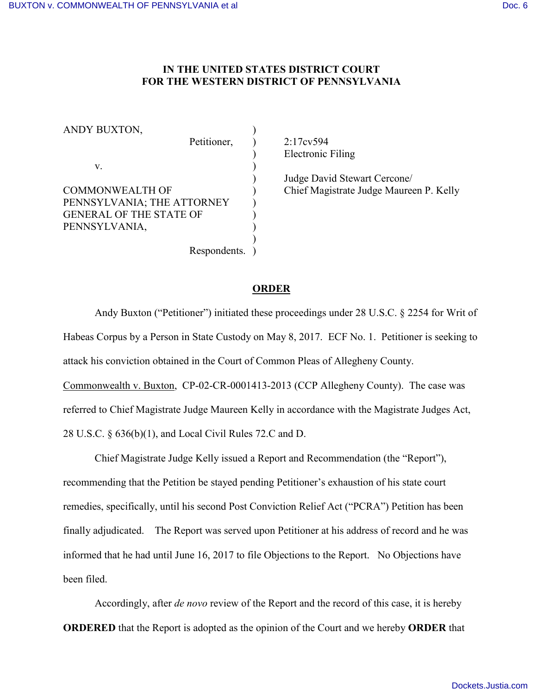## **IN THE UNITED STATES DISTRICT COURT FOR THE WESTERN DISTRICT OF PENNSYLVANIA**

ANDY BUXTON, Petitioner, ) 2:17cv594  $\mathbf{v}$ . COMMONWEALTH OF ) Chief Magistrate Judge Maureen P. Kelly PENNSYLVANIA; THE ATTORNEY ) GENERAL OF THE STATE OF ) PENNSYLVANIA, ) Respondents. )

) Electronic Filing

) Judge David Stewart Cercone/

## **ORDER**

Andy Buxton ("Petitioner") initiated these proceedings under 28 U.S.C. § 2254 for Writ of Habeas Corpus by a Person in State Custody on May 8, 2017. ECF No. 1. Petitioner is seeking to attack his conviction obtained in the Court of Common Pleas of Allegheny County. Commonwealth v. Buxton, CP-02-CR-0001413-2013 (CCP Allegheny County). The case was referred to Chief Magistrate Judge Maureen Kelly in accordance with the Magistrate Judges Act, 28 U.S.C. § 636(b)(1), and Local Civil Rules 72.C and D.

Chief Magistrate Judge Kelly issued a Report and Recommendation (the "Report"), recommending that the Petition be stayed pending Petitioner's exhaustion of his state court remedies, specifically, until his second Post Conviction Relief Act ("PCRA") Petition has been finally adjudicated. The Report was served upon Petitioner at his address of record and he was informed that he had until June 16, 2017 to file Objections to the Report. No Objections have been filed.

Accordingly, after *de novo* review of the Report and the record of this case, it is hereby **ORDERED** that the Report is adopted as the opinion of the Court and we hereby **ORDER** that